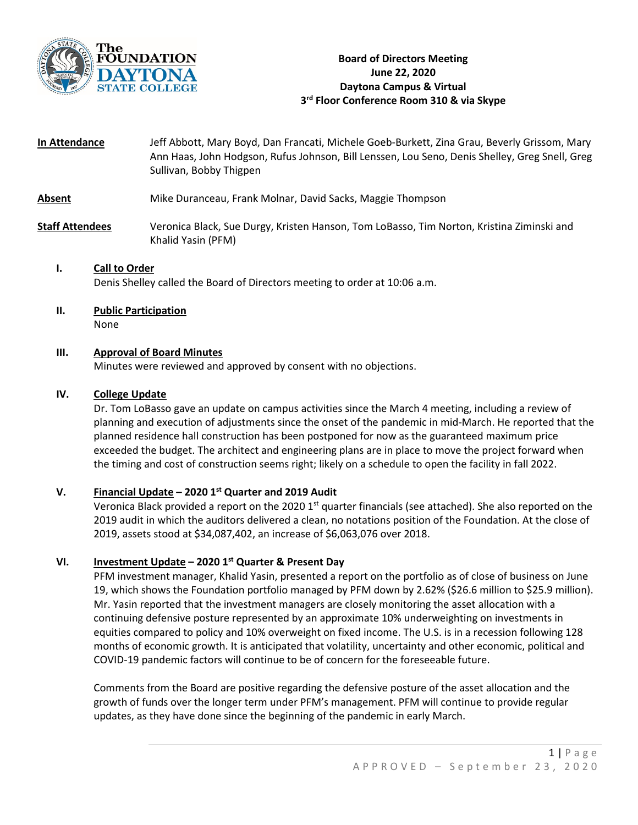

**In Attendance** Jeff Abbott, Mary Boyd, Dan Francati, Michele Goeb-Burkett, Zina Grau, Beverly Grissom, Mary Ann Haas, John Hodgson, Rufus Johnson, Bill Lenssen, Lou Seno, Denis Shelley, Greg Snell, Greg Sullivan, Bobby Thigpen

## **Absent** Mike Duranceau, Frank Molnar, David Sacks, Maggie Thompson

**Staff Attendees** Veronica Black, Sue Durgy, Kristen Hanson, Tom LoBasso, Tim Norton, Kristina Ziminski and Khalid Yasin (PFM)

# **I. Call to Order**

Denis Shelley called the Board of Directors meeting to order at 10:06 a.m.

**II. Public Participation**

None

#### **III. Approval of Board Minutes**

Minutes were reviewed and approved by consent with no objections.

### **IV. College Update**

Dr. Tom LoBasso gave an update on campus activities since the March 4 meeting, including a review of planning and execution of adjustments since the onset of the pandemic in mid-March. He reported that the planned residence hall construction has been postponed for now as the guaranteed maximum price exceeded the budget. The architect and engineering plans are in place to move the project forward when the timing and cost of construction seems right; likely on a schedule to open the facility in fall 2022.

#### **V. Financial Update – 2020 1st Quarter and 2019 Audit**

Veronica Black provided a report on the 2020  $1<sup>st</sup>$  quarter financials (see attached). She also reported on the 2019 audit in which the auditors delivered a clean, no notations position of the Foundation. At the close of 2019, assets stood at \$34,087,402, an increase of \$6,063,076 over 2018.

#### **VI. Investment Update – 2020 1st Quarter & Present Day**

PFM investment manager, Khalid Yasin, presented a report on the portfolio as of close of business on June 19, which shows the Foundation portfolio managed by PFM down by 2.62% (\$26.6 million to \$25.9 million). Mr. Yasin reported that the investment managers are closely monitoring the asset allocation with a continuing defensive posture represented by an approximate 10% underweighting on investments in equities compared to policy and 10% overweight on fixed income. The U.S. is in a recession following 128 months of economic growth. It is anticipated that volatility, uncertainty and other economic, political and COVID-19 pandemic factors will continue to be of concern for the foreseeable future.

Comments from the Board are positive regarding the defensive posture of the asset allocation and the growth of funds over the longer term under PFM's management. PFM will continue to provide regular updates, as they have done since the beginning of the pandemic in early March.